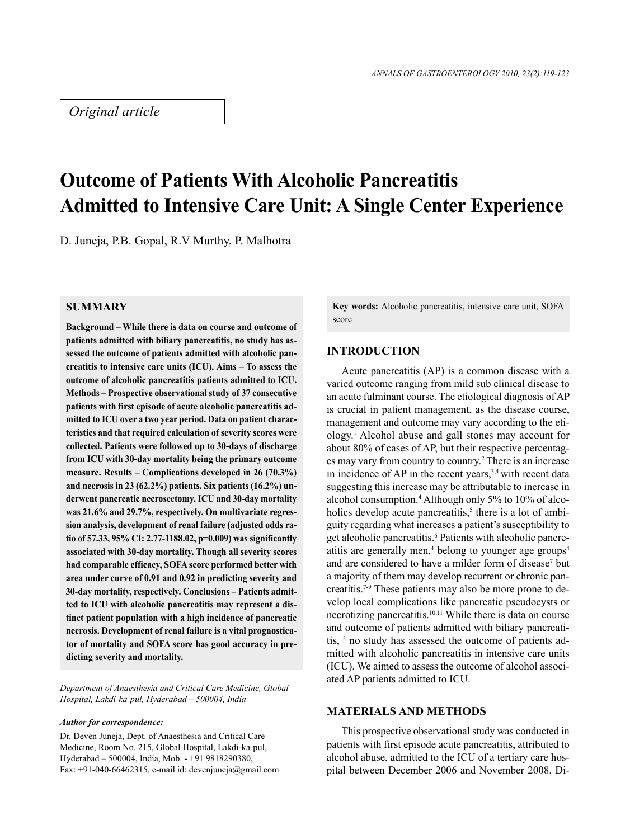## *Original article*

# **Outcome of Patients With Alcoholic Pancreatitis Admitted to Intensive Care Unit: A Single Center Experience**

D. Juneja, P.B. Gopal, R.V Murthy, P. Malhotra

#### **SUMMARY**

**Background – While there is data on course and outcome of patients admitted with biliary pancreatitis, no study has assessed the outcome of patients admitted with alcoholic pancreatitis to intensive care units (ICU). Aims – To assess the outcome of alcoholic pancreatitis patients admitted to ICU. Methods – Prospective observational study of 37 consecutive patients with first episode of acute alcoholic pancreatitis admitted to ICU over a two year period. Data on patient characteristics and that required calculation of severity scores were collected. Patients were followed up to 30-days of discharge from ICU with 30-day mortality being the primary outcome measure. Results – Complications developed in 26 (70.3%) and necrosis in 23 (62.2%) patients. Six patients (16.2%) underwent pancreatic necrosectomy. ICU and 30-day mortality was 21.6% and 29.7%, respectively. On multivariate regression analysis, development of renal failure (adjusted odds ratio of 57.33, 95% CI: 2.77-1188.02, p=0.009) was significantly associated with 30-day mortality. Though all severity scores had comparable efficacy, SOFA score performed better with area under curve of 0.91 and 0.92 in predicting severity and 30-day mortality, respectively. Conclusions – Patients admitted to ICU with alcoholic pancreatitis may represent a distinct patient population with a high incidence of pancreatic necrosis. Development of renal failure is a vital prognosticator of mortality and SOFA score has good accuracy in predicting severity and mortality.**

*Department of Anaesthesia and Critical Care Medicine, Global Hospital, Lakdi-ka-pul, Hyderabad – 500004, India*

#### *Author for correspondence:*

Dr. Deven Juneja, Dept. of Anaesthesia and Critical Care Medicine, Room No. 215, Global Hospital, Lakdi-ka-pul, Hyderabad – 500004, India, Mob. - +91 9818290380, Fax:  $+91-040-66462315$ , e-mail id: devenjuneja@gmail.com **Key words:** Alcoholic pancreatitis, intensive care unit, SOFA score

### **INTRODUCTION**

Acute pancreatitis (AP) is a common disease with a varied outcome ranging from mild sub clinical disease to an acute fulminant course. The etiological diagnosis of AP is crucial in patient management, as the disease course, management and outcome may vary according to the etiology.1 Alcohol abuse and gall stones may account for about 80% of cases of AP, but their respective percentages may vary from country to country.<sup>2</sup> There is an increase in incidence of AP in the recent years,  $3,4$  with recent data suggesting this increase may be attributable to increase in alcohol consumption.4 Although only 5% to 10% of alcoholics develop acute pancreatitis, $<sup>5</sup>$  there is a lot of ambi-</sup> guity regarding what increases a patient's susceptibility to get alcoholic pancreatitis.<sup>6</sup> Patients with alcoholic pancreatitis are generally men,<sup>4</sup> belong to younger age groups<sup>4</sup> and are considered to have a milder form of disease<sup>7</sup> but a majority of them may develop recurrent or chronic pancreatitis.7-9 These patients may also be more prone to develop local complications like pancreatic pseudocysts or necrotizing pancreatitis.10,11 While there is data on course and outcome of patients admitted with biliary pancreatitis,12 no study has assessed the outcome of patients admitted with alcoholic pancreatitis in intensive care units (ICU). We aimed to assess the outcome of alcohol associated AP patients admitted to ICU.

#### **MATERIALS AND METHODS**

This prospective observational study was conducted in patients with first episode acute pancreatitis, attributed to alcohol abuse, admitted to the ICU of a tertiary care hospital between December 2006 and November 2008. Di-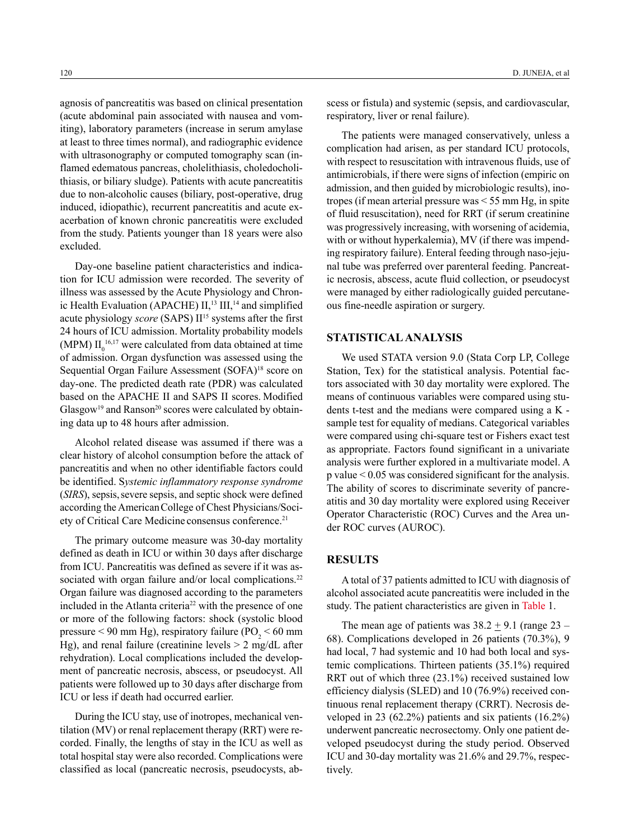agnosis of pancreatitis was based on clinical presentation (acute abdominal pain associated with nausea and vomiting), laboratory parameters (increase in serum amylase at least to three times normal), and radiographic evidence with ultrasonography or computed tomography scan (inflamed edematous pancreas, cholelithiasis, choledocholithiasis, or biliary sludge). Patients with acute pancreatitis due to non-alcoholic causes (biliary, post-operative, drug induced, idiopathic), recurrent pancreatitis and acute exacerbation of known chronic pancreatitis were excluded from the study. Patients younger than 18 years were also excluded.

Day-one baseline patient characteristics and indication for ICU admission were recorded. The severity of illness was assessed by the Acute Physiology and Chronic Health Evaluation (APACHE)  $II$ ,<sup>13</sup>  $III$ ,<sup>14</sup> and simplified acute physiology *score* (SAPS) II<sup>15</sup> systems after the first 24 hours of ICU admission. Mortality probability models (MPM)  $II_0^{16,17}$  were calculated from data obtained at time of admission. Organ dysfunction was assessed using the Sequential Organ Failure Assessment (SOFA)<sup>18</sup> score on day-one. The predicted death rate (PDR) was calculated based on the APACHE II and SAPS II scores. Modified  $G$ lasgow<sup>19</sup> and Ranson<sup>20</sup> scores were calculated by obtaining data up to 48 hours after admission.

Alcohol related disease was assumed if there was a clear history of alcohol consumption before the attack of pancreatitis and when no other identifiable factors could be identified. S*ystemic inflammatory response syndrome* (*SIRS*), sepsis, severe sepsis, and septic shock were defined according the AmericanCollege of Chest Physicians/Society of Critical Care Medicine consensus conference.<sup>21</sup>

The primary outcome measure was 30-day mortality defined as death in ICU or within 30 days after discharge from ICU. Pancreatitis was defined as severe if it was associated with organ failure and/or local complications.<sup>22</sup> Organ failure was diagnosed according to the parameters included in the Atlanta criteria<sup>22</sup> with the presence of one or more of the following factors: shock (systolic blood pressure < 90 mm Hg), respiratory failure ( $PO<sub>2</sub>$  < 60 mm Hg), and renal failure (creatinine levels  $> 2$  mg/dL after rehydration). Local complications included the development of pancreatic necrosis, abscess, or pseudocyst. All patients were followed up to 30 days after discharge from ICU or less if death had occurred earlier.

During the ICU stay, use of inotropes, mechanical ventilation (MV) or renal replacement therapy (RRT) were recorded. Finally, the lengths of stay in the ICU as well as total hospital stay were also recorded. Complications were classified as local (pancreatic necrosis, pseudocysts, ab-

scess or fistula) and systemic (sepsis, and cardiovascular, respiratory, liver or renal failure).

The patients were managed conservatively, unless a complication had arisen, as per standard ICU protocols, with respect to resuscitation with intravenous fluids, use of antimicrobials, if there were signs of infection (empiric on admission, and then guided by microbiologic results), inotropes (if mean arterial pressure was < 55 mm Hg, in spite of fluid resuscitation), need for RRT (if serum creatinine was progressively increasing, with worsening of acidemia, with or without hyperkalemia), MV (if there was impending respiratory failure). Enteral feeding through naso-jejunal tube was preferred over parenteral feeding. Pancreatic necrosis, abscess, acute fluid collection, or pseudocyst were managed by either radiologically guided percutaneous fine-needle aspiration or surgery.

#### **Statistical Analysis**

We used STATA version 9.0 (Stata Corp LP, College Station, Tex) for the statistical analysis. Potential factors associated with 30 day mortality were explored. The means of continuous variables were compared using students t-test and the medians were compared using a K sample test for equality of medians. Categorical variables were compared using chi-square test or Fishers exact test as appropriate. Factors found significant in a univariate analysis were further explored in a multivariate model. A p value < 0.05 was considered significant for the analysis. The ability of scores to discriminate severity of pancreatitis and 30 day mortality were explored using Receiver Operator Characteristic (ROC) Curves and the Area under ROC curves (AUROC).

#### **Results**

A total of 37 patients admitted to ICU with diagnosis of alcohol associated acute pancreatitis were included in the study. The patient characteristics are given in Table 1.

The mean age of patients was  $38.2 \pm 9.1$  (range  $23 -$ 68). Complications developed in 26 patients (70.3%), 9 had local, 7 had systemic and 10 had both local and systemic complications. Thirteen patients (35.1%) required RRT out of which three (23.1%) received sustained low efficiency dialysis (SLED) and 10 (76.9%) received continuous renal replacement therapy (CRRT). Necrosis developed in 23 (62.2%) patients and six patients (16.2%) underwent pancreatic necrosectomy. Only one patient developed pseudocyst during the study period. Observed ICU and 30-day mortality was 21.6% and 29.7%, respectively.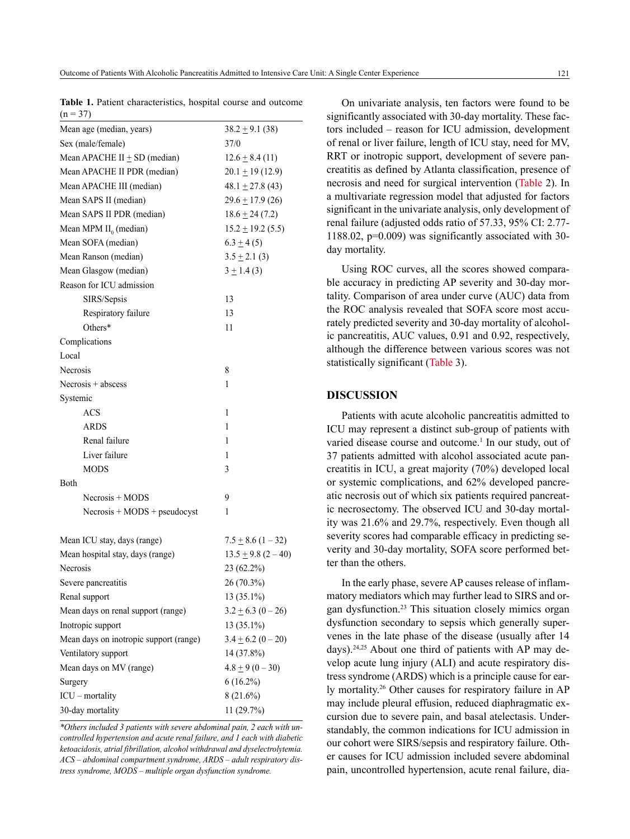|            | Table 1. Patient characteristics, hospital course and outcome |  |  |
|------------|---------------------------------------------------------------|--|--|
| $(n = 37)$ |                                                               |  |  |

| Mean age (median, years)               | $38.2 \pm 9.1$ (38)     |
|----------------------------------------|-------------------------|
| Sex (male/female)                      | 37/0                    |
| Mean APACHE II $\pm$ SD (median)       | $12.6 \pm 8.4(11)$      |
| Mean APACHE II PDR (median)            | $20.1 \pm 19(12.9)$     |
| Mean APACHE III (median)               | $48.1 \pm 27.8$ (43)    |
| Mean SAPS II (median)                  | $29.6 \pm 17.9$ (26)    |
| Mean SAPS II PDR (median)              | $18.6 \pm 24(7.2)$      |
| Mean MPM $II_0$ (median)               | $15.2 \pm 19.2$ (5.5)   |
| Mean SOFA (median)                     | $6.3 \pm 4(5)$          |
| Mean Ranson (median)                   | $3.5 \pm 2.1$ (3)       |
| Mean Glasgow (median)                  | $3 \pm 1.4$ (3)         |
| Reason for ICU admission               |                         |
| SIRS/Sepsis                            | 13                      |
| Respiratory failure                    | 13                      |
| Others*                                | 11                      |
| Complications                          |                         |
| Local                                  |                         |
| Necrosis                               | 8                       |
| Necrosis $+$ abscess                   | 1                       |
| Systemic                               |                         |
| ACS                                    | 1                       |
| <b>ARDS</b>                            | 1                       |
| Renal failure                          | 1                       |
| Liver failure                          | 1                       |
| MODS                                   | 3                       |
| Both                                   |                         |
| $Necrosis + MODS$                      | 9                       |
| $Necrosis + MODS + pseudocyst$         | 1                       |
|                                        |                         |
| Mean ICU stay, days (range)            | $7.5 \pm 8.6$ (1 – 32)  |
| Mean hospital stay, days (range)       | $13.5 \pm 9.8 (2 - 40)$ |
| Necrosis                               | 23 (62.2%)              |
| Severe pancreatitis                    | 26 (70.3%)              |
| Renal support                          | 13 (35.1%)              |
| Mean days on renal support (range)     | $3.2 \pm 6.3$ (0 - 26)  |
| Inotropic support                      | 13 (35.1%)              |
| Mean days on inotropic support (range) | $3.4 \pm 6.2 (0 - 20)$  |
| Ventilatory support                    | 14 (37.8%)              |
| Mean days on MV (range)                | $4.8 \pm 9(0-30)$       |
| Surgery                                | $6(16.2\%)$             |
| ICU - mortality                        | $8(21.6\%)$             |
| 30-day mortality                       | 11 (29.7%)              |
|                                        |                         |

*\*Others included 3 patients with severe abdominal pain, 2 each with uncontrolled hypertension and acute renal failure, and 1 each with diabetic ketoacidosis, atrial fibrillation, alcohol withdrawal and dyselectrolytemia. ACS – abdominal compartment syndrome, ARDS – adult respiratory distress syndrome, MODS – multiple organ dysfunction syndrome.*

On univariate analysis, ten factors were found to be significantly associated with 30-day mortality. These factors included – reason for ICU admission, development of renal or liver failure, length of ICU stay, need for MV, RRT or inotropic support, development of severe pancreatitis as defined by Atlanta classification, presence of necrosis and need for surgical intervention (Table 2). In a multivariate regression model that adjusted for factors significant in the univariate analysis, only development of renal failure (adjusted odds ratio of 57.33, 95% CI: 2.77- 1188.02, p=0.009) was significantly associated with 30 day mortality.

Using ROC curves, all the scores showed comparable accuracy in predicting AP severity and 30-day mortality. Comparison of area under curve (AUC) data from the ROC analysis revealed that SOFA score most accurately predicted severity and 30-day mortality of alcoholic pancreatitis, AUC values, 0.91 and 0.92, respectively, although the difference between various scores was not statistically significant (Table 3).

#### **DISCUSSION**

Patients with acute alcoholic pancreatitis admitted to ICU may represent a distinct sub-group of patients with varied disease course and outcome.<sup>1</sup> In our study, out of 37 patients admitted with alcohol associated acute pancreatitis in ICU, a great majority (70%) developed local or systemic complications, and 62% developed pancreatic necrosis out of which six patients required pancreatic necrosectomy. The observed ICU and 30-day mortality was 21.6% and 29.7%, respectively. Even though all severity scores had comparable efficacy in predicting severity and 30-day mortality, SOFA score performed better than the others.

In the early phase, severe AP causes release of inflammatory mediators which may further lead to SIRS and organ dysfunction.<sup>23</sup> This situation closely mimics organ dysfunction secondary to sepsis which generally supervenes in the late phase of the disease (usually after 14 days).<sup>24,25</sup> About one third of patients with AP may develop acute lung injury (ALI) and acute respiratory distress syndrome (ARDS) which is a principle cause for early mortality.26 Other causes for respiratory failure in AP may include pleural effusion, reduced diaphragmatic excursion due to severe pain, and basal atelectasis. Understandably, the common indications for ICU admission in our cohort were SIRS/sepsis and respiratory failure. Other causes for ICU admission included severe abdominal pain, uncontrolled hypertension, acute renal failure, dia-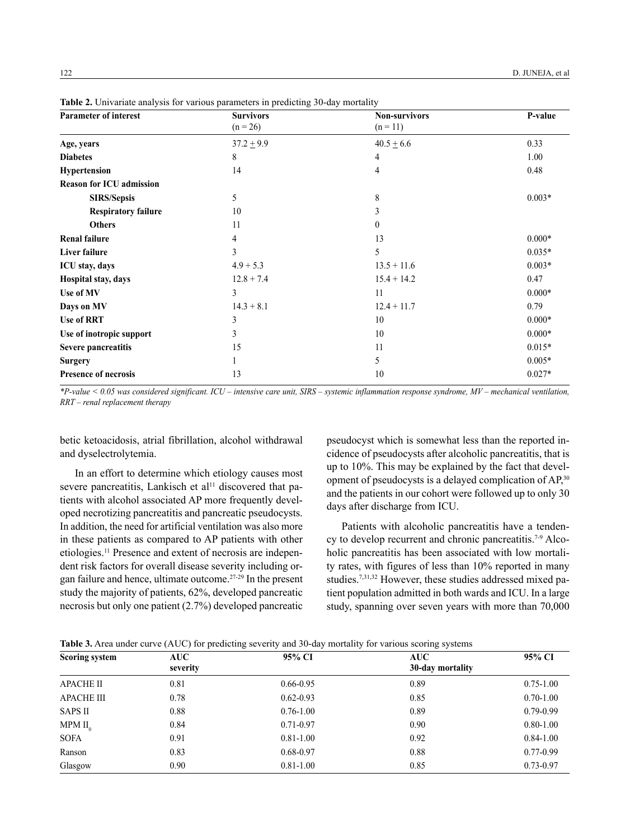| <b>Parameter of interest</b>    | <b>Survivors</b> | <b>Non-survivors</b> | P-value  |
|---------------------------------|------------------|----------------------|----------|
|                                 | $(n = 26)$       | $(n = 11)$           |          |
| Age, years                      | $37.2 \pm 9.9$   | $40.5 \pm 6.6$       | 0.33     |
| <b>Diabetes</b>                 | 8                | 4                    | 1.00     |
| Hypertension                    | 14               | 4                    | 0.48     |
| <b>Reason for ICU admission</b> |                  |                      |          |
| <b>SIRS/Sepsis</b>              | 5                | 8                    | $0.003*$ |
| <b>Respiratory failure</b>      | 10               | 3                    |          |
| <b>Others</b>                   | 11               | $\theta$             |          |
| <b>Renal failure</b>            | 4                | 13                   | $0.000*$ |
| Liver failure                   | 3                | 5                    | $0.035*$ |
| ICU stay, days                  | $4.9 + 5.3$      | $13.5 + 11.6$        | $0.003*$ |
| Hospital stay, days             | $12.8 + 7.4$     | $15.4 + 14.2$        | 0.47     |
| Use of MV                       | 3                | 11                   | $0.000*$ |
| Days on MV                      | $14.3 + 8.1$     | $12.4 + 11.7$        | 0.79     |
| <b>Use of RRT</b>               | 3                | 10                   | $0.000*$ |
| Use of inotropic support        | 3                | 10                   | $0.000*$ |
| Severe pancreatitis             | 15               | 11                   | $0.015*$ |
| <b>Surgery</b>                  |                  | 5                    | $0.005*$ |
| <b>Presence of necrosis</b>     | 13               | 10                   | $0.027*$ |
|                                 |                  |                      |          |

**Table 2.** Univariate analysis for various parameters in predicting 30-day mortality

*\*P-value < 0.05 was considered significant. ICU – intensive care unit, SIRS – systemic inflammation response syndrome, MV – mechanical ventilation, RRT – renal replacement therapy*

betic ketoacidosis, atrial fibrillation, alcohol withdrawal and dyselectrolytemia.

In an effort to determine which etiology causes most severe pancreatitis, Lankisch et al<sup>11</sup> discovered that patients with alcohol associated AP more frequently developed necrotizing pancreatitis and pancreatic pseudocysts. In addition, the need for artificial ventilation was also more in these patients as compared to AP patients with other etiologies.11 Presence and extent of necrosis are independent risk factors for overall disease severity including organ failure and hence, ultimate outcome.27-29 In the present study the majority of patients, 62%, developed pancreatic necrosis but only one patient (2.7%) developed pancreatic

pseudocyst which is somewhat less than the reported incidence of pseudocysts after alcoholic pancreatitis, that is up to 10%. This may be explained by the fact that development of pseudocysts is a delayed complication of AP,<sup>30</sup> and the patients in our cohort were followed up to only 30 days after discharge from ICU.

Patients with alcoholic pancreatitis have a tendency to develop recurrent and chronic pancreatitis.7-9 Alcoholic pancreatitis has been associated with low mortality rates, with figures of less than 10% reported in many studies.7,31,32 However, these studies addressed mixed patient population admitted in both wards and ICU. In a large study, spanning over seven years with more than 70,000

| <b>Scoring system</b> | AUC-     | 95% CI        | <b>AUC</b>       | 95% CI        |
|-----------------------|----------|---------------|------------------|---------------|
|                       | severity |               | 30-day mortality |               |
| <b>APACHE II</b>      | 0.81     | $0.66 - 0.95$ | 0.89             | $0.75 - 1.00$ |
| <b>APACHE III</b>     | 0.78     | $0.62 - 0.93$ | 0.85             | $0.70 - 1.00$ |
| <b>SAPS II</b>        | 0.88     | $0.76 - 1.00$ | 0.89             | $0.79 - 0.99$ |
| MPM II <sub>0</sub>   | 0.84     | $0.71 - 0.97$ | 0.90             | $0.80 - 1.00$ |
| <b>SOFA</b>           | 0.91     | $0.81 - 1.00$ | 0.92             | $0.84 - 1.00$ |
| Ranson                | 0.83     | $0.68 - 0.97$ | 0.88             | $0.77 - 0.99$ |
| Glasgow               | 0.90     | $0.81 - 1.00$ | 0.85             | $0.73 - 0.97$ |

**Table 3.** Area under curve (AUC) for predicting severity and 30-day mortality for various scoring systems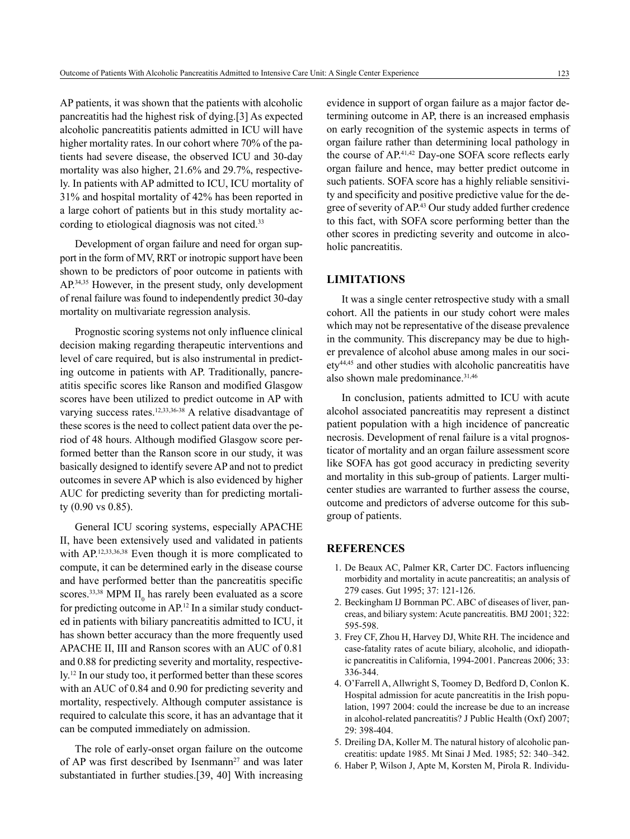AP patients, it was shown that the patients with alcoholic pancreatitis had the highest risk of dying.[3] As expected alcoholic pancreatitis patients admitted in ICU will have higher mortality rates. In our cohort where 70% of the patients had severe disease, the observed ICU and 30-day mortality was also higher, 21.6% and 29.7%, respectively. In patients with AP admitted to ICU, ICU mortality of 31% and hospital mortality of 42% has been reported in a large cohort of patients but in this study mortality according to etiological diagnosis was not cited.<sup>33</sup>

Development of organ failure and need for organ support in the form of MV, RRT or inotropic support have been shown to be predictors of poor outcome in patients with AP.34,35 However, in the present study, only development of renal failure was found to independently predict 30-day mortality on multivariate regression analysis.

Prognostic scoring systems not only influence clinical decision making regarding therapeutic interventions and level of care required, but is also instrumental in predicting outcome in patients with AP. Traditionally, pancreatitis specific scores like Ranson and modified Glasgow scores have been utilized to predict outcome in AP with varying success rates.12,33,36-38 A relative disadvantage of these scores is the need to collect patient data over the period of 48 hours. Although modified Glasgow score performed better than the Ranson score in our study, it was basically designed to identify severe AP and not to predict outcomes in severe AP which is also evidenced by higher AUC for predicting severity than for predicting mortality (0.90 vs 0.85).

General ICU scoring systems, especially APACHE II, have been extensively used and validated in patients with AP.<sup>12,33,36,38</sup> Even though it is more complicated to compute, it can be determined early in the disease course and have performed better than the pancreatitis specific scores.<sup>33,38</sup> MPM  $II_0$  has rarely been evaluated as a score for predicting outcome in AP.12 In a similar study conducted in patients with biliary pancreatitis admitted to ICU, it has shown better accuracy than the more frequently used APACHE II, III and Ranson scores with an AUC of 0.81 and 0.88 for predicting severity and mortality, respectively.12 In our study too, it performed better than these scores with an AUC of 0.84 and 0.90 for predicting severity and mortality, respectively. Although computer assistance is required to calculate this score, it has an advantage that it can be computed immediately on admission.

The role of early-onset organ failure on the outcome of AP was first described by Isenmann<sup>27</sup> and was later substantiated in further studies.[39, 40] With increasing

evidence in support of organ failure as a major factor determining outcome in AP, there is an increased emphasis on early recognition of the systemic aspects in terms of organ failure rather than determining local pathology in the course of AP.<sup>41,42</sup> Day-one SOFA score reflects early organ failure and hence, may better predict outcome in such patients. SOFA score has a highly reliable sensitivity and specificity and positive predictive value for the degree of severity of AP.43 Our study added further credence to this fact, with SOFA score performing better than the other scores in predicting severity and outcome in alcoholic pancreatitis.

#### **Limitations**

It was a single center retrospective study with a small cohort. All the patients in our study cohort were males which may not be representative of the disease prevalence in the community. This discrepancy may be due to higher prevalence of alcohol abuse among males in our society44,45 and other studies with alcoholic pancreatitis have also shown male predominance.<sup>31,46</sup>

In conclusion, patients admitted to ICU with acute alcohol associated pancreatitis may represent a distinct patient population with a high incidence of pancreatic necrosis. Development of renal failure is a vital prognosticator of mortality and an organ failure assessment score like SOFA has got good accuracy in predicting severity and mortality in this sub-group of patients. Larger multicenter studies are warranted to further assess the course, outcome and predictors of adverse outcome for this subgroup of patients.

#### **References**

- 1. De Beaux AC, Palmer KR, Carter DC. Factors influencing morbidity and mortality in acute pancreatitis; an analysis of 279 cases. Gut 1995; 37: 121-126.
- 2. Beckingham IJ Bornman PC. ABC of diseases of liver, pancreas, and biliary system: Acute pancreatitis. BMJ 2001; 322: 595-598.
- 3. Frey CF, Zhou H, Harvey DJ, White RH. The incidence and case-fatality rates of acute biliary, alcoholic, and idiopathic pancreatitis in California, 1994-2001. Pancreas 2006; 33: 336-344.
- 4. O'Farrell A, Allwright S, Toomey D, Bedford D, Conlon K. Hospital admission for acute pancreatitis in the Irish population, 1997 2004: could the increase be due to an increase in alcohol-related pancreatitis? J Public Health (Oxf) 2007; 29: 398-404.
- 5. Dreiling DA, Koller M. The natural history of alcoholic pancreatitis: update 1985. Mt Sinai J Med. 1985; 52: 340–342.
- 6. Haber P, Wilson J, Apte M, Korsten M, Pirola R. Individu-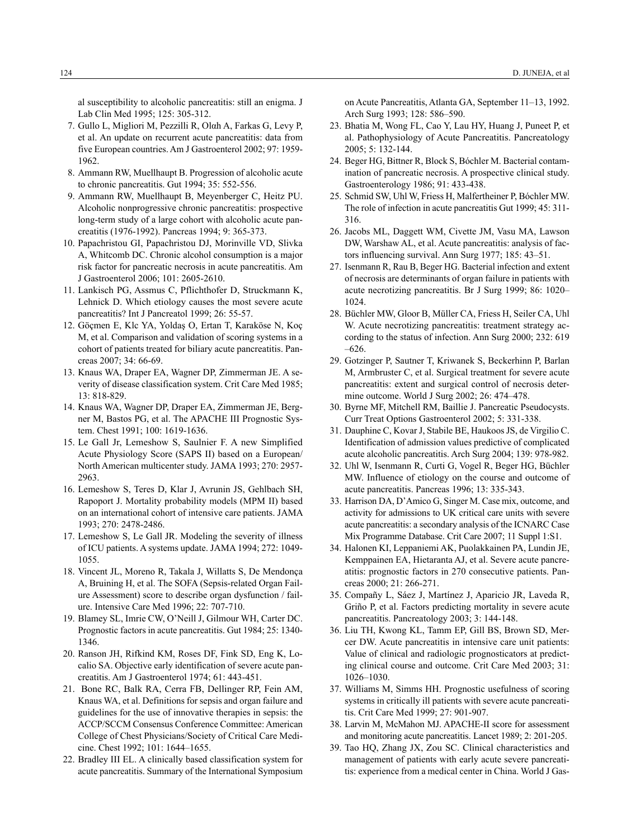al susceptibility to alcoholic pancreatitis: still an enigma. J Lab Clin Med 1995; 125: 305-312.

- 7. Gullo L, Migliori M, Pezzilli R, Olαh A, Farkas G, Levy P, et al. An update on recurrent acute pancreatitis: data from five European countries. Am J Gastroenterol 2002; 97: 1959- 1962.
- 8. Ammann RW, Muellhaupt B. Progression of alcoholic acute to chronic pancreatitis. Gut 1994; 35: 552-556.
- 9. Ammann RW, Muellhaupt B, Meyenberger C, Heitz PU. Alcoholic nonprogressive chronic pancreatitis: prospective long-term study of a large cohort with alcoholic acute pancreatitis (1976-1992). Pancreas 1994; 9: 365-373.
- 10. Papachristou GI, Papachristou DJ, Morinville VD, Slivka A, Whitcomb DC. Chronic alcohol consumption is a major risk factor for pancreatic necrosis in acute pancreatitis. Am J Gastroenterol 2006; 101: 2605-2610.
- 11. Lankisch PG, Assmus C, Pflichthofer D, Struckmann K, Lehnick D. Which etiology causes the most severe acute pancreatitis? Int J Pancreatol 1999; 26: 55-57.
- 12. Göçmen E, Klc YA, Yoldaş O, Ertan T, Karaköse N, Koç M, et al. Comparison and validation of scoring systems in a cohort of patients treated for biliary acute pancreatitis. Pancreas 2007; 34: 66-69.
- 13. Knaus WA, Draper EA, Wagner DP, Zimmerman JE. A severity of disease classification system. Crit Care Med 1985; 13: 818-829.
- 14. Knaus WA, Wagner DP, Draper EA, Zimmerman JE, Bergner M, Bastos PG, et al. The APACHE III Prognostic System. Chest 1991; 100: 1619-1636.
- 15. Le Gall Jr, Lemeshow S, Saulnier F. A new Simplified Acute Physiology Score (SAPS II) based on a European/ North American multicenter study. JAMA 1993; 270: 2957- 2963.
- 16. Lemeshow S, Teres D, Klar J, Avrunin JS, Gehlbach SH, Rapoport J. Mortality probability models (MPM II) based on an international cohort of intensive care patients. JAMA 1993; 270: 2478-2486.
- 17. Lemeshow S, Le Gall JR. Modeling the severity of illness of ICU patients. A systems update. JAMA 1994; 272: 1049- 1055.
- 18. Vincent JL, Moreno R, Takala J, Willatts S, De Mendonça A, Bruining H, et al. The SOFA (Sepsis-related Organ Failure Assessment) score to describe organ dysfunction / failure. Intensive Care Med 1996; 22: 707-710.
- 19. Blamey SL, Imrie CW, O'Neill J, Gilmour WH, Carter DC. Prognostic factors in acute pancreatitis. Gut 1984; 25: 1340- 1346.
- 20. Ranson JH, Rifkind KM, Roses DF, Fink SD, Eng K, Localio SA. Objective early identification of severe acute pancreatitis. Am J Gastroenterol 1974; 61: 443-451.
- 21. Bone RC, Balk RA, Cerra FB, Dellinger RP, Fein AM, Knaus WA, et al. Definitions for sepsis and organ failure and guidelines for the use of innovative therapies in sepsis: the ACCP/SCCM Consensus Conference Committee: American College of Chest Physicians/Society of Critical Care Medicine. Chest 1992; 101: 1644–1655.
- 22. Bradley III EL. A clinically based classification system for acute pancreatitis. Summary of the International Symposium

on Acute Pancreatitis, Atlanta GA, September 11–13, 1992. Arch Surg 1993; 128: 586–590.

- 23. Bhatia M, Wong FL, Cao Y, Lau HY, Huang J, Puneet P, et al. Pathophysiology of Acute Pancreatitis. Pancreatology 2005; 5: 132-144.
- 24. Beger HG, Bittner R, Block S, Bóchler M. Bacterial contamination of pancreatic necrosis. A prospective clinical study. Gastroenterology 1986; 91: 433-438.
- 25. Schmid SW, Uhl W, Friess H, Malfertheiner P, Bόchler MW. The role of infection in acute pancreatitis Gut 1999; 45: 311- 316.
- 26. Jacobs ML, Daggett WM, Civette JM, Vasu MA, Lawson DW, Warshaw AL, et al. Acute pancreatitis: analysis of factors influencing survival. Ann Surg 1977; 185: 43–51.
- 27. Isenmann R, Rau B, Beger HG. Bacterial infection and extent of necrosis are determinants of organ failure in patients with acute necrotizing pancreatitis. Br J Surg 1999; 86: 1020– 1024.
- 28. Büchler MW, Gloor B, Müller CA, Friess H, Seiler CA, Uhl W. Acute necrotizing pancreatitis: treatment strategy according to the status of infection. Ann Surg 2000; 232: 619 –626.
- 29. Gotzinger P, Sautner T, Kriwanek S, Beckerhinn P, Barlan M, Armbruster C, et al. Surgical treatment for severe acute pancreatitis: extent and surgical control of necrosis determine outcome. World J Surg 2002; 26: 474–478.
- 30. Byrne MF, Mitchell RM, Baillie J. Pancreatic Pseudocysts. Curr Treat Options Gastroenterol 2002; 5: 331-338.
- 31. Dauphine C, Kovar J, Stabile BE, Haukoos JS, de Virgilio C. Identification of admission values predictive of complicated acute alcoholic pancreatitis. Arch Surg 2004; 139: 978-982.
- 32. Uhl W, Isenmann R, Curti G, Vogel R, Beger HG, Büchler MW. Influence of etiology on the course and outcome of acute pancreatitis. Pancreas 1996; 13: 335-343.
- 33. Harrison DA, D'Amico G, Singer M. Case mix, outcome, and activity for admissions to UK critical care units with severe acute pancreatitis: a secondary analysis of the ICNARC Case Mix Programme Database. Crit Care 2007; 11 Suppl 1:S1.
- 34. Halonen KI, Leppaniemi AK, Puolakkainen PA, Lundin JE, Kemppainen EA, Hietaranta AJ, et al. Severe acute pancreatitis: prognostic factors in 270 consecutive patients. Pancreas 2000; 21: 266-271.
- 35. Compañy L, Sáez J, Martínez J, Aparicio JR, Laveda R, Griño P, et al. Factors predicting mortality in severe acute pancreatitis. Pancreatology 2003; 3: 144-148.
- 36. Liu TH, Kwong KL, Tamm EP, Gill BS, Brown SD, Mercer DW. Acute pancreatitis in intensive care unit patients: Value of clinical and radiologic prognosticators at predicting clinical course and outcome. Crit Care Med 2003; 31: 1026–1030.
- 37. Williams M, Simms HH. Prognostic usefulness of scoring systems in critically ill patients with severe acute pancreatitis. Crit Care Med 1999; 27: 901-907.
- 38. Larvin M, McMahon MJ. APACHE-II score for assessment and monitoring acute pancreatitis. Lancet 1989; 2: 201-205.
- 39. Tao HQ, Zhang JX, Zou SC. Clinical characteristics and management of patients with early acute severe pancreatitis: experience from a medical center in China. World J Gas-